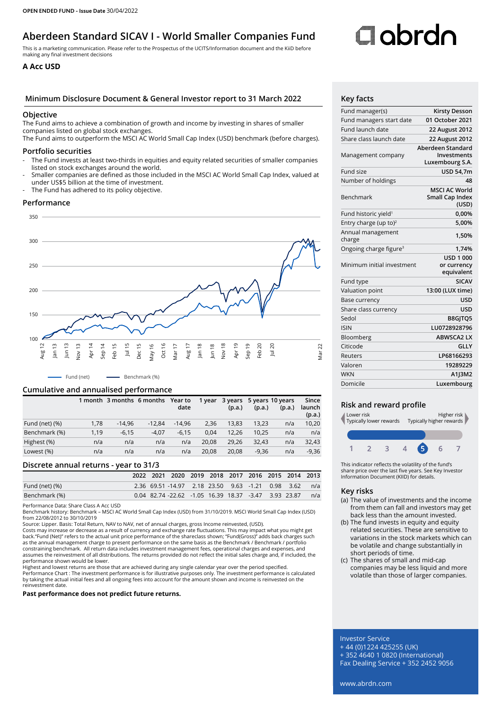## **Aberdeen Standard SICAV I - World Smaller Companies Fund**

This is a marketing communication. Please refer to the Prospectus of the UCITS/Information document and the KiiD before making any final investment decisions

### **A Acc USD**

#### **Minimum Disclosure Document & General Investor report to 31 March 2022 Key facts**

#### **Objective**

The Fund aims to achieve a combination of growth and income by investing in shares of smaller companies listed on global stock exchanges.

The Fund aims to outperform the MSCI AC World Small Cap Index (USD) benchmark (before charges).

#### **Portfolio securities**

- The Fund invests at least two-thirds in equities and equity related securities of smaller companies listed on stock exchanges around the world.
- Smaller companies are defined as those included in the MSCI AC World Small Cap Index, valued at under US\$5 billion at the time of investment.
- The Fund has adhered to its policy objective.

#### **Performance**



Fund (net) - Benchmark (%)

#### **Cumulative and annualised performance**

|                   |      | 1 month 3 months 6 months |          | Year to  | 1 year |        | 3 years 5 years 10 years |        | Since            |
|-------------------|------|---------------------------|----------|----------|--------|--------|--------------------------|--------|------------------|
|                   |      |                           |          | date     |        | (p.a.) | (p.a.)                   | (p.a.) | launch<br>(p.a.) |
| Fund (net) $(\%)$ | 1,78 | $-14.96$                  | $-12.84$ | $-14.96$ | 2.36   | 13.83  | 13.23                    | n/a    | 10,20            |
| Benchmark (%)     | 1,19 | $-6.15$                   | $-4.07$  | $-6.15$  | 0.04   | 12.26  | 10.25                    | n/a    | n/a              |
| Highest (%)       | n/a  | n/a                       | n/a      | n/a      | 20.08  | 29.26  | 32.43                    | n/a    | 32,43            |
| Lowest (%)        | n/a  | n/a                       | n/a      | n/a      | 20.08  | 20.08  | $-9.36$                  | n/a    | $-9,36$          |

#### **Discrete annual returns - year to 31/3**

|                |  | 2022 2021 2020 2019 2018 2017 2016 2015 2014 2013    |  |  |  |     |
|----------------|--|------------------------------------------------------|--|--|--|-----|
| Fund (net) (%) |  | 2.36 69.51 -14.97 2.18 23.50 9.63 -1.21 0.98 3.62    |  |  |  | n/a |
| Benchmark (%)  |  | 0.04 82.74 -22.62 -1.05 16.39 18.37 -3.47 3.93 23.87 |  |  |  | n/a |

Performance Data: Share Class A Acc USD

Benchmark history: Benchmark – MSCI AC World Small Cap Index (USD) from 31/10/2019. MSCI World Small Cap Index (USD) from 22/08/2012 to 30/10/2019

Source: Lipper. Basis: Total Return, NAV to NAV, net of annual charges, gross Income reinvested, (USD).

Costs may increase or decrease as a result of currency and exchange rate fluctuations. This may impact what you might get back."Fund (Net)" refers to the actual unit price performance of the shareclass shown; "Fund(Gross)" adds back charges such<br>as the annual management charge to present performance on the same basis as the Benchmark / Benchm constraining benchmark. All return data includes investment management fees, operational charges and expenses, and assumes the reinvestment of all distributions. The returns provided do not reflect the initial sales charge and, if included, the performance shown would be lower.

Highest and lowest returns are those that are achieved during any single calendar year over the period specified. Performance Chart : The investment performance is for illustrative purposes only. The investment performance is calculated<br>by taking the actual initial fees and all ongoing fees into account for the amount shown and income reinvestment date.

**Past performance does not predict future returns.**

# Oobrdo

| <b>Kirsty Desson</b>                                                        |
|-----------------------------------------------------------------------------|
| 01 October 2021                                                             |
| 22 August 2012                                                              |
| <b>22 August 2012</b>                                                       |
| Aberdeen Standard<br>Investments<br>Luxembourg S.A.                         |
| <b>USD 54,7m</b>                                                            |
| 48                                                                          |
| <b>MSCI AC World</b><br>Small Cap Index<br>(USD)                            |
| 0,00%                                                                       |
| 5,00%                                                                       |
| 1,50%                                                                       |
| 1.74%                                                                       |
| <b>USD 1 000</b><br>Minimum initial investment<br>or currency<br>equivalent |
| <b>SICAV</b>                                                                |
| 13:00 (LUX time)                                                            |
| <b>USD</b>                                                                  |
| USD                                                                         |
| B8GJTQ5                                                                     |
| LU0728928796                                                                |
| <b>ABWSCA2 LX</b>                                                           |
| <b>GLLY</b>                                                                 |
| LP68166293                                                                  |
| 19289229                                                                    |
| A1J3M2                                                                      |
| Luxembourg                                                                  |
|                                                                             |

#### **Risk and reward profile**



This indicator reflects the volatility of the fund's share price over the last five years. See Key Investor Information Document (KIID) for details.

#### **Key risks**

- (a) The value of investments and the income from them can fall and investors may get back less than the amount invested.
- (b) The fund invests in equity and equity related securities. These are sensitive to variations in the stock markets which can be volatile and change substantially in short periods of time.
- (c) The shares of small and mid-cap companies may be less liquid and more volatile than those of larger companies.

#### Investor Service

+ 44 (0)1224 425255 (UK)

+ 352 4640 1 0820 (International)

Fax Dealing Service + 352 2452 9056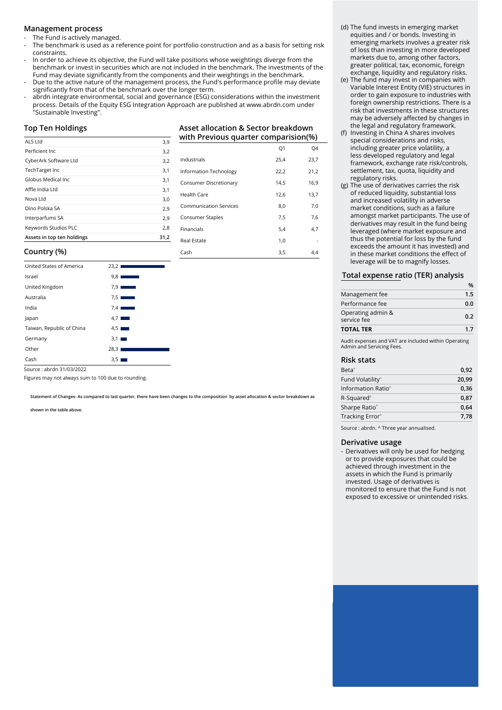#### **Management process**

The Fund is actively managed.

- The benchmark is used as a reference point for portfolio construction and as a basis for setting risk constraints.
- In order to achieve its objective, the Fund will take positions whose weightings diverge from the benchmark or invest in securities which are not included in the benchmark. The investments of the Fund may deviate significantly from the components and their weightings in the benchmark.
- Due to the active nature of the management process, the Fund's performance profile may deviate significantly from that of the benchmark over the longer term.
- abrdn integrate environmental, social and governance (ESG) considerations within the investment process. Details of the Equity ESG Integration Approach are published at www.abrdn.com under "Sustainable Investing".

#### **Top Ten Holdings**

| ALS Ltd                    | 3,9  |
|----------------------------|------|
| Perficient Inc.            | 3,2  |
| CyberArk Software Ltd      | 3,2  |
| TechTarget Inc             | 3,1  |
| Globus Medical Inc.        | 3,1  |
| Affle India Ltd            | 3,1  |
| Nova Ltd                   | 3,0  |
| Dino Polska SA             | 2,9  |
| Interparfums SA            | 2,9  |
| Keywords Studios PLC       | 2,8  |
| Assets in top ten holdings | 31.2 |

### **Asset allocation & Sector breakdown with Previous quarter comparision(%)**

|                               | Q1   | Q4   |
|-------------------------------|------|------|
| Industrials                   | 25,4 | 23,7 |
| Information Technology        | 22,2 | 21,2 |
| Consumer Discretionary        | 14,5 | 16,9 |
| Health Care                   | 12,6 | 13,7 |
| <b>Communication Services</b> | 8,0  | 7,0  |
| Consumer Staples              | 7,5  | 7,6  |
| Financials                    | 5,4  | 4,7  |
| <b>Real Estate</b>            | 1,0  |      |
| Cash                          | 3,5  | 4.4  |

#### **Country (%)**

| United States of America  | 23,2                 |
|---------------------------|----------------------|
| Israel                    | 9,8                  |
| United Kingdom            | $7.9$ $\blacksquare$ |
| Australia                 | 7.5                  |
| India                     | 7.4                  |
| Japan                     | $4.7$ $\blacksquare$ |
| Taiwan, Republic of China | 4.5                  |
| Germany                   | $3,1$ $\blacksquare$ |
| Other                     | 28,3                 |
| Cash                      | 3,51<br>m.           |

Source : abrdn 31/03/2022

Figures may not always sum to 100 due to rounding.

**Statement of Changes- As compared to last quarter, there have been changes to the composition by asset allocation & sector breakdown as** 

÷.

**shown in the table above.**

#### (d) The fund invests in emerging market equities and / or bonds. Investing in emerging markets involves a greater risk of loss than investing in more developed markets due to, among other factors, greater political, tax, economic, foreign exchange, liquidity and regulatory risks.

- (e) The fund may invest in companies with Variable Interest Entity (VIE) structures in order to gain exposure to industries with foreign ownership restrictions. There is a risk that investments in these structures may be adversely affected by changes in the legal and regulatory framework.
- (f) Investing in China A shares involves special considerations and risks, including greater price volatility, a less developed regulatory and legal framework, exchange rate risk/controls, settlement, tax, quota, liquidity and regulatory risks.
- (g) The use of derivatives carries the risk of reduced liquidity, substantial loss and increased volatility in adverse market conditions, such as a failure amongst market participants. The use of derivatives may result in the fund being leveraged (where market exposure and thus the potential for loss by the fund exceeds the amount it has invested) and in these market conditions the effect of leverage will be to magnify losses.

#### **Total expense ratio (TER) analysis**

| Operating admin &<br>service fee | 0.2 |  |
|----------------------------------|-----|--|
| Performance fee                  | 0.0 |  |
| Management fee                   | 1.5 |  |
|                                  |     |  |

Audit expenses and VAT are included within Operating Admin and Servicing Fees.

#### **Risk stats**

| Beta <sup>^</sup>              | 0,92  |
|--------------------------------|-------|
| Fund Volatility <sup>^</sup>   | 20,99 |
| Information Ratio <sup>^</sup> | 0,36  |
| R-Squared <sup>^</sup>         | 0,87  |
| Sharpe Ratio <sup>^</sup>      | 0,64  |
| Tracking Error <sup>^</sup>    | 7.78  |

Source : abrdn. ^ Three year annualised.

#### **Derivative usage**

- Derivatives will only be used for hedging or to provide exposures that could be achieved through investment in the assets in which the Fund is primarily invested. Usage of derivatives is monitored to ensure that the Fund is not exposed to excessive or unintended risks.